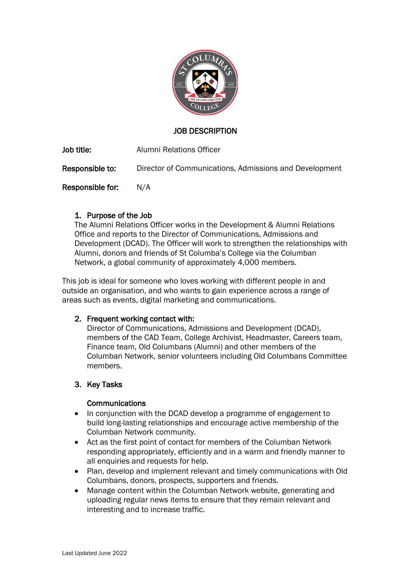

# JOB DESCRIPTION

Job title: Alumni Relations Officer

Responsible to: Director of Communications, Admissions and Development

Responsible for: N/A

# 1. Purpose of the Job

The Alumni Relations Officer works in the Development & Alumni Relations Office and reports to the Director of Communications, Admissions and Development (DCAD). The Officer will work to strengthen the relationships with Alumni, donors and friends of St Columba's College via the Columban Network, a global community of approximately 4,000 members.

This job is ideal for someone who loves working with different people in and outside an organisation, and who wants to gain experience across a range of areas such as events, digital marketing and communications.

#### 2. Frequent working contact with:

Director of Communications, Admissions and Development (DCAD), members of the CAD Team, College Archivist, Headmaster, Careers team, Finance team, Old Columbans (Alumni) and other members of the Columban Network, senior volunteers including Old Columbans Committee members.

# 3. Key Tasks

#### **Communications**

- In conjunction with the DCAD develop a programme of engagement to build long-lasting relationships and encourage active membership of the Columban Network community.
- Act as the first point of contact for members of the Columban Network responding appropriately, efficiently and in a warm and friendly manner to all enquiries and requests for help.
- Plan, develop and implement relevant and timely communications with Old Columbans, donors, prospects, supporters and friends.
- Manage content within the Columban Network website, generating and uploading regular news items to ensure that they remain relevant and interesting and to increase traffic.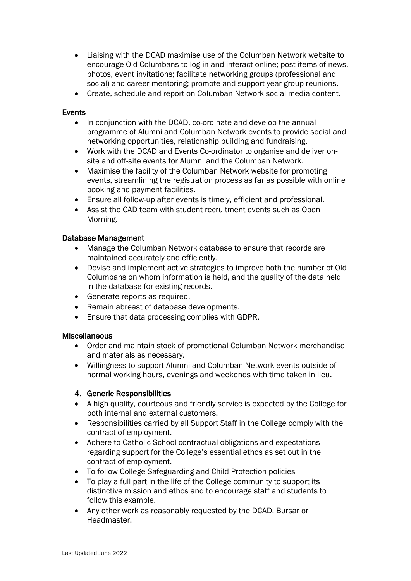- Liaising with the DCAD maximise use of the Columban Network website to encourage Old Columbans to log in and interact online; post items of news, photos, event invitations; facilitate networking groups (professional and social) and career mentoring; promote and support year group reunions.
- Create, schedule and report on Columban Network social media content.

#### **Events**

- In conjunction with the DCAD, co-ordinate and develop the annual programme of Alumni and Columban Network events to provide social and networking opportunities, relationship building and fundraising.
- Work with the DCAD and Events Co-ordinator to organise and deliver onsite and off-site events for Alumni and the Columban Network.
- Maximise the facility of the Columban Network website for promoting events, streamlining the registration process as far as possible with online booking and payment facilities.
- Ensure all follow-up after events is timely, efficient and professional.
- Assist the CAD team with student recruitment events such as Open Morning.

#### Database Management

- Manage the Columban Network database to ensure that records are maintained accurately and efficiently.
- Devise and implement active strategies to improve both the number of Old Columbans on whom information is held, and the quality of the data held in the database for existing records.
- Generate reports as required.
- Remain abreast of database developments.
- Ensure that data processing complies with GDPR.

#### **Miscellaneous**

- Order and maintain stock of promotional Columban Network merchandise and materials as necessary.
- Willingness to support Alumni and Columban Network events outside of normal working hours, evenings and weekends with time taken in lieu.

#### 4. Generic Responsibilities

- A high quality, courteous and friendly service is expected by the College for both internal and external customers.
- Responsibilities carried by all Support Staff in the College comply with the contract of employment.
- Adhere to Catholic School contractual obligations and expectations regarding support for the College's essential ethos as set out in the contract of employment.
- To follow College Safeguarding and Child Protection policies
- To play a full part in the life of the College community to support its distinctive mission and ethos and to encourage staff and students to follow this example.
- Any other work as reasonably requested by the DCAD, Bursar or **Headmaster**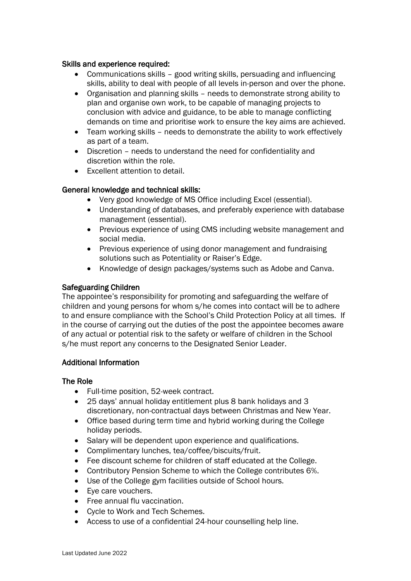### Skills and experience required:

- Communications skills good writing skills, persuading and influencing skills, ability to deal with people of all levels in-person and over the phone.
- Organisation and planning skills needs to demonstrate strong ability to plan and organise own work, to be capable of managing projects to conclusion with advice and guidance, to be able to manage conflicting demands on time and prioritise work to ensure the key aims are achieved.
- Team working skills needs to demonstrate the ability to work effectively as part of a team.
- Discretion needs to understand the need for confidentiality and discretion within the role.
- Excellent attention to detail.

# General knowledge and technical skills:

- Very good knowledge of MS Office including Excel (essential).
- Understanding of databases, and preferably experience with database management (essential).
- Previous experience of using CMS including website management and social media.
- Previous experience of using donor management and fundraising solutions such as Potentiality or Raiser's Edge.
- Knowledge of design packages/systems such as Adobe and Canva.

# Safeguarding Children

The appointee's responsibility for promoting and safeguarding the welfare of children and young persons for whom s/he comes into contact will be to adhere to and ensure compliance with the School's Child Protection Policy at all times. If in the course of carrying out the duties of the post the appointee becomes aware of any actual or potential risk to the safety or welfare of children in the School s/he must report any concerns to the Designated Senior Leader.

#### Additional Information

#### The Role

- Full-time position, 52-week contract.
- 25 days' annual holiday entitlement plus 8 bank holidays and 3 discretionary, non-contractual days between Christmas and New Year.
- Office based during term time and hybrid working during the College holiday periods.
- Salary will be dependent upon experience and qualifications.
- Complimentary lunches, tea/coffee/biscuits/fruit.
- Fee discount scheme for children of staff educated at the College.
- Contributory Pension Scheme to which the College contributes 6%.
- Use of the College gym facilities outside of School hours.
- Eye care vouchers.
- Free annual flu vaccination.
- Cycle to Work and Tech Schemes.
- Access to use of a confidential 24-hour counselling help line.